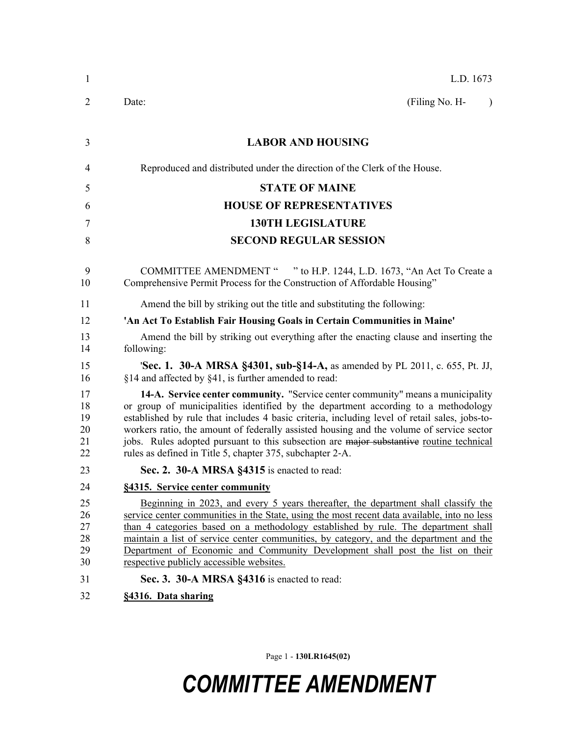| 1                                | L.D. 1673                                                                                                                                                                                                                                                                                                                                                                                                                                                                                                                  |  |  |
|----------------------------------|----------------------------------------------------------------------------------------------------------------------------------------------------------------------------------------------------------------------------------------------------------------------------------------------------------------------------------------------------------------------------------------------------------------------------------------------------------------------------------------------------------------------------|--|--|
| 2                                | (Filing No. H-<br>Date:<br>$\lambda$                                                                                                                                                                                                                                                                                                                                                                                                                                                                                       |  |  |
| 3                                | <b>LABOR AND HOUSING</b>                                                                                                                                                                                                                                                                                                                                                                                                                                                                                                   |  |  |
| 4                                | Reproduced and distributed under the direction of the Clerk of the House.                                                                                                                                                                                                                                                                                                                                                                                                                                                  |  |  |
| 5                                | <b>STATE OF MAINE</b>                                                                                                                                                                                                                                                                                                                                                                                                                                                                                                      |  |  |
| 6                                | <b>HOUSE OF REPRESENTATIVES</b>                                                                                                                                                                                                                                                                                                                                                                                                                                                                                            |  |  |
| 7                                | <b>130TH LEGISLATURE</b>                                                                                                                                                                                                                                                                                                                                                                                                                                                                                                   |  |  |
| 8                                | <b>SECOND REGULAR SESSION</b>                                                                                                                                                                                                                                                                                                                                                                                                                                                                                              |  |  |
| 9<br>10                          | COMMITTEE AMENDMENT " " to H.P. 1244, L.D. 1673, "An Act To Create a<br>Comprehensive Permit Process for the Construction of Affordable Housing"                                                                                                                                                                                                                                                                                                                                                                           |  |  |
| 11                               | Amend the bill by striking out the title and substituting the following:                                                                                                                                                                                                                                                                                                                                                                                                                                                   |  |  |
| 12                               | 'An Act To Establish Fair Housing Goals in Certain Communities in Maine'                                                                                                                                                                                                                                                                                                                                                                                                                                                   |  |  |
| 13<br>14                         | Amend the bill by striking out everything after the enacting clause and inserting the<br>following:                                                                                                                                                                                                                                                                                                                                                                                                                        |  |  |
| 15<br>16                         | <b>'Sec. 1. 30-A MRSA §4301, sub-§14-A, as amended by PL 2011, c. 655, Pt. JJ,</b><br>§14 and affected by §41, is further amended to read:                                                                                                                                                                                                                                                                                                                                                                                 |  |  |
| 17<br>18<br>19<br>20<br>21<br>22 | 14-A. Service center community. "Service center community" means a municipality<br>or group of municipalities identified by the department according to a methodology<br>established by rule that includes 4 basic criteria, including level of retail sales, jobs-to-<br>workers ratio, the amount of federally assisted housing and the volume of service sector<br>jobs. Rules adopted pursuant to this subsection are major substantive routine technical<br>rules as defined in Title 5, chapter 375, subchapter 2-A. |  |  |
| 23                               | Sec. 2. 30-A MRSA §4315 is enacted to read:                                                                                                                                                                                                                                                                                                                                                                                                                                                                                |  |  |
| 24                               | §4315. Service center community                                                                                                                                                                                                                                                                                                                                                                                                                                                                                            |  |  |
| 25<br>26<br>27<br>28<br>29<br>30 | Beginning in 2023, and every 5 years thereafter, the department shall classify the<br>service center communities in the State, using the most recent data available, into no less<br>than 4 categories based on a methodology established by rule. The department shall<br>maintain a list of service center communities, by category, and the department and the<br>Department of Economic and Community Development shall post the list on their<br>respective publicly accessible websites.                             |  |  |
| 31                               | Sec. 3. 30-A MRSA §4316 is enacted to read:                                                                                                                                                                                                                                                                                                                                                                                                                                                                                |  |  |
| 32                               | §4316. Data sharing                                                                                                                                                                                                                                                                                                                                                                                                                                                                                                        |  |  |

Page 1 - **130LR1645(02)**

## *COMMITTEE AMENDMENT*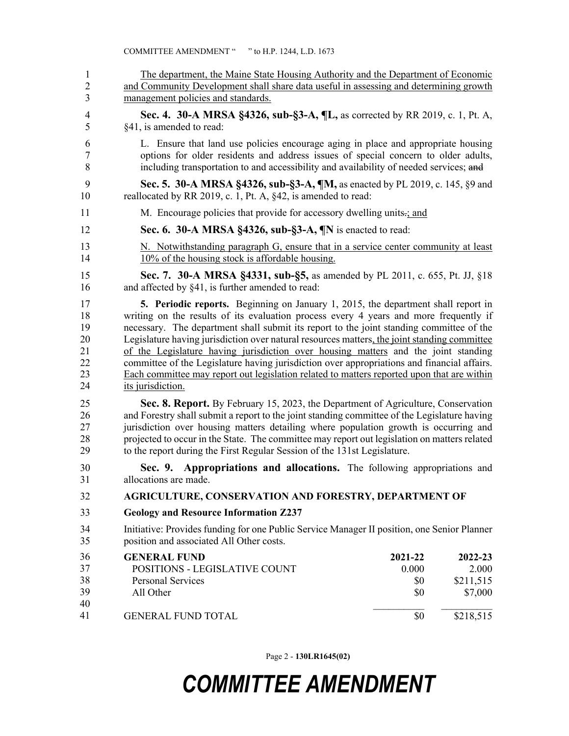| 1<br>$\overline{2}$<br>$\overline{\mathbf{3}}$ | The department, the Maine State Housing Authority and the Department of Economic<br>and Community Development shall share data useful in assessing and determining growth<br>management policies and standards.                                                                                                                                                                                                                                                                                                                                                                                                                                                                |                                       |                                                       |  |
|------------------------------------------------|--------------------------------------------------------------------------------------------------------------------------------------------------------------------------------------------------------------------------------------------------------------------------------------------------------------------------------------------------------------------------------------------------------------------------------------------------------------------------------------------------------------------------------------------------------------------------------------------------------------------------------------------------------------------------------|---------------------------------------|-------------------------------------------------------|--|
| $\overline{4}$<br>5                            | Sec. 4. 30-A MRSA §4326, sub-§3-A, ¶L, as corrected by RR 2019, c. 1, Pt. A,<br>§41, is amended to read:                                                                                                                                                                                                                                                                                                                                                                                                                                                                                                                                                                       |                                       |                                                       |  |
| 6<br>$\boldsymbol{7}$<br>8                     | L. Ensure that land use policies encourage aging in place and appropriate housing<br>options for older residents and address issues of special concern to older adults,<br>including transportation to and accessibility and availability of needed services; and                                                                                                                                                                                                                                                                                                                                                                                                              |                                       |                                                       |  |
| 9<br>10                                        | Sec. 5. 30-A MRSA §4326, sub-§3-A, ¶M, as enacted by PL 2019, c. 145, §9 and<br>reallocated by RR 2019, c. 1, Pt. A, §42, is amended to read:                                                                                                                                                                                                                                                                                                                                                                                                                                                                                                                                  |                                       |                                                       |  |
| 11                                             | M. Encourage policies that provide for accessory dwelling units-; and                                                                                                                                                                                                                                                                                                                                                                                                                                                                                                                                                                                                          |                                       |                                                       |  |
| 12                                             | Sec. 6. 30-A MRSA §4326, sub-§3-A, ¶N is enacted to read:                                                                                                                                                                                                                                                                                                                                                                                                                                                                                                                                                                                                                      |                                       |                                                       |  |
| 13<br>14                                       | N. Notwithstanding paragraph G, ensure that in a service center community at least<br>10% of the housing stock is affordable housing.                                                                                                                                                                                                                                                                                                                                                                                                                                                                                                                                          |                                       |                                                       |  |
| 15<br>16                                       | Sec. 7. 30-A MRSA §4331, sub-§5, as amended by PL 2011, c. 655, Pt. JJ, §18<br>and affected by §41, is further amended to read:                                                                                                                                                                                                                                                                                                                                                                                                                                                                                                                                                |                                       |                                                       |  |
| 17<br>18<br>19<br>20<br>21<br>22<br>23<br>24   | 5. Periodic reports. Beginning on January 1, 2015, the department shall report in<br>writing on the results of its evaluation process every 4 years and more frequently if<br>necessary. The department shall submit its report to the joint standing committee of the<br>Legislature having jurisdiction over natural resources matters, the joint standing committee<br>of the Legislature having jurisdiction over housing matters and the joint standing<br>committee of the Legislature having jurisdiction over appropriations and financial affairs.<br>Each committee may report out legislation related to matters reported upon that are within<br>its jurisdiction. |                                       |                                                       |  |
| 25<br>26<br>27<br>28<br>29                     | Sec. 8. Report. By February 15, 2023, the Department of Agriculture, Conservation<br>and Forestry shall submit a report to the joint standing committee of the Legislature having<br>jurisdiction over housing matters detailing where population growth is occurring and<br>projected to occur in the State. The committee may report out legislation on matters related<br>to the report during the First Regular Session of the 131st Legislature.                                                                                                                                                                                                                          |                                       |                                                       |  |
| 30<br>31                                       | Appropriations and allocations. The following appropriations and<br>Sec. 9.<br>allocations are made.                                                                                                                                                                                                                                                                                                                                                                                                                                                                                                                                                                           |                                       |                                                       |  |
| 32                                             | AGRICULTURE, CONSERVATION AND FORESTRY, DEPARTMENT OF                                                                                                                                                                                                                                                                                                                                                                                                                                                                                                                                                                                                                          |                                       |                                                       |  |
| 33                                             | <b>Geology and Resource Information Z237</b>                                                                                                                                                                                                                                                                                                                                                                                                                                                                                                                                                                                                                                   |                                       |                                                       |  |
| 34<br>35                                       | Initiative: Provides funding for one Public Service Manager II position, one Senior Planner<br>position and associated All Other costs.                                                                                                                                                                                                                                                                                                                                                                                                                                                                                                                                        |                                       |                                                       |  |
| 36<br>37<br>38<br>39<br>40<br>41               | <b>GENERAL FUND</b><br>POSITIONS - LEGISLATIVE COUNT<br><b>Personal Services</b><br>All Other<br><b>GENERAL FUND TOTAL</b>                                                                                                                                                                                                                                                                                                                                                                                                                                                                                                                                                     | 2021-22<br>0.000<br>\$0<br>\$0<br>\$0 | 2022-23<br>2.000<br>\$211,515<br>\$7,000<br>\$218,515 |  |
|                                                |                                                                                                                                                                                                                                                                                                                                                                                                                                                                                                                                                                                                                                                                                |                                       |                                                       |  |

Page 2 - **130LR1645(02)**

## *COMMITTEE AMENDMENT*